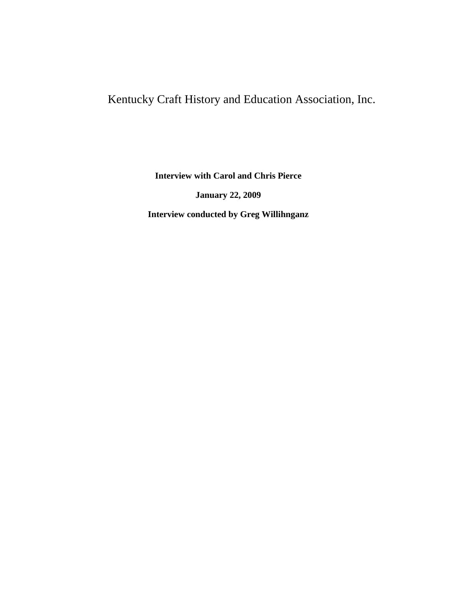# Kentucky Craft History and Education Association, Inc.

**Interview with Carol and Chris Pierce**

**January 22, 2009**

**Interview conducted by Greg Willihnganz**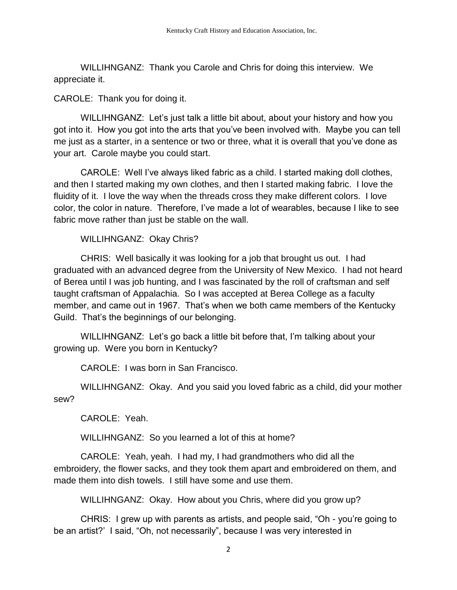WILLIHNGANZ: Thank you Carole and Chris for doing this interview. We appreciate it.

CAROLE: Thank you for doing it.

WILLIHNGANZ: Let's just talk a little bit about, about your history and how you got into it. How you got into the arts that you've been involved with. Maybe you can tell me just as a starter, in a sentence or two or three, what it is overall that you've done as your art. Carole maybe you could start.

CAROLE: Well I've always liked fabric as a child. I started making doll clothes, and then I started making my own clothes, and then I started making fabric. I love the fluidity of it. I love the way when the threads cross they make different colors. I love color, the color in nature. Therefore, I've made a lot of wearables, because I like to see fabric move rather than just be stable on the wall.

WILLIHNGANZ: Okay Chris?

CHRIS: Well basically it was looking for a job that brought us out. I had graduated with an advanced degree from the University of New Mexico. I had not heard of Berea until I was job hunting, and I was fascinated by the roll of craftsman and self taught craftsman of Appalachia. So I was accepted at Berea College as a faculty member, and came out in 1967. That's when we both came members of the Kentucky Guild. That's the beginnings of our belonging.

WILLIHNGANZ: Let's go back a little bit before that, I'm talking about your growing up. Were you born in Kentucky?

CAROLE: I was born in San Francisco.

WILLIHNGANZ: Okay. And you said you loved fabric as a child, did your mother sew?

CAROLE: Yeah.

WILLIHNGANZ: So you learned a lot of this at home?

CAROLE: Yeah, yeah. I had my, I had grandmothers who did all the embroidery, the flower sacks, and they took them apart and embroidered on them, and made them into dish towels. I still have some and use them.

WILLIHNGANZ: Okay. How about you Chris, where did you grow up?

CHRIS: I grew up with parents as artists, and people said, "Oh - you're going to be an artist?' I said, "Oh, not necessarily", because I was very interested in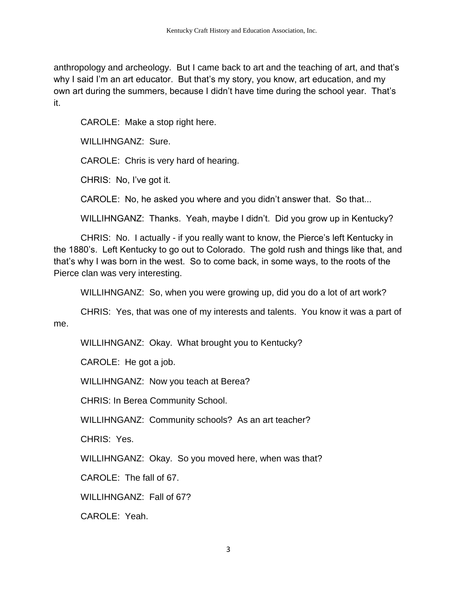anthropology and archeology. But I came back to art and the teaching of art, and that's why I said I'm an art educator. But that's my story, you know, art education, and my own art during the summers, because I didn't have time during the school year. That's it.

CAROLE: Make a stop right here.

WILLIHNGANZ: Sure.

CAROLE: Chris is very hard of hearing.

CHRIS: No, I've got it.

CAROLE: No, he asked you where and you didn't answer that. So that...

WILLIHNGANZ: Thanks. Yeah, maybe I didn't. Did you grow up in Kentucky?

CHRIS: No. I actually - if you really want to know, the Pierce's left Kentucky in the 1880's. Left Kentucky to go out to Colorado. The gold rush and things like that, and that's why I was born in the west. So to come back, in some ways, to the roots of the Pierce clan was very interesting.

WILLIHNGANZ: So, when you were growing up, did you do a lot of art work?

CHRIS: Yes, that was one of my interests and talents. You know it was a part of me.

WILLIHNGANZ: Okay. What brought you to Kentucky?

CAROLE: He got a job.

WILLIHNGANZ: Now you teach at Berea?

CHRIS: In Berea Community School.

WILLIHNGANZ: Community schools? As an art teacher?

CHRIS: Yes.

WILLIHNGANZ: Okay. So you moved here, when was that?

CAROLE: The fall of 67.

WILLIHNGANZ: Fall of 67?

CAROLE: Yeah.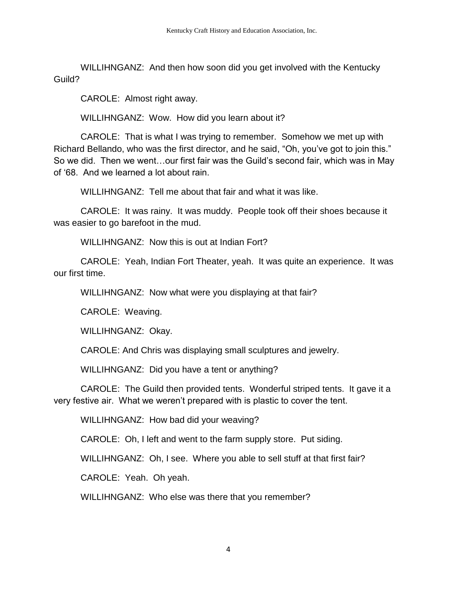WILLIHNGANZ: And then how soon did you get involved with the Kentucky Guild?

CAROLE: Almost right away.

WILLIHNGANZ: Wow. How did you learn about it?

CAROLE: That is what I was trying to remember. Somehow we met up with Richard Bellando, who was the first director, and he said, "Oh, you've got to join this." So we did. Then we went…our first fair was the Guild's second fair, which was in May of '68. And we learned a lot about rain.

WILLIHNGANZ: Tell me about that fair and what it was like.

CAROLE: It was rainy. It was muddy. People took off their shoes because it was easier to go barefoot in the mud.

WILLIHNGANZ: Now this is out at Indian Fort?

CAROLE: Yeah, Indian Fort Theater, yeah. It was quite an experience. It was our first time.

WILLIHNGANZ: Now what were you displaying at that fair?

CAROLE: Weaving.

WILLIHNGANZ: Okay.

CAROLE: And Chris was displaying small sculptures and jewelry.

WILLIHNGANZ: Did you have a tent or anything?

CAROLE: The Guild then provided tents. Wonderful striped tents. It gave it a very festive air. What we weren't prepared with is plastic to cover the tent.

WILLIHNGANZ: How bad did your weaving?

CAROLE: Oh, I left and went to the farm supply store. Put siding.

WILLIHNGANZ: Oh, I see. Where you able to sell stuff at that first fair?

CAROLE: Yeah. Oh yeah.

WILLIHNGANZ: Who else was there that you remember?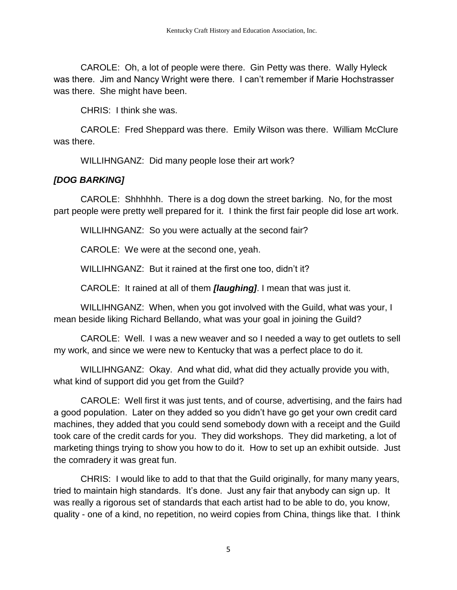CAROLE: Oh, a lot of people were there. Gin Petty was there. Wally Hyleck was there. Jim and Nancy Wright were there. I can't remember if Marie Hochstrasser was there. She might have been.

CHRIS: I think she was.

CAROLE: Fred Sheppard was there. Emily Wilson was there. William McClure was there.

WILLIHNGANZ: Did many people lose their art work?

#### *[DOG BARKING]*

CAROLE: Shhhhhh. There is a dog down the street barking. No, for the most part people were pretty well prepared for it. I think the first fair people did lose art work.

WILLIHNGANZ: So you were actually at the second fair?

CAROLE: We were at the second one, yeah.

WILLIHNGANZ: But it rained at the first one too, didn't it?

CAROLE: It rained at all of them *[laughing]*. I mean that was just it.

WILLIHNGANZ: When, when you got involved with the Guild, what was your, I mean beside liking Richard Bellando, what was your goal in joining the Guild?

CAROLE: Well. I was a new weaver and so I needed a way to get outlets to sell my work, and since we were new to Kentucky that was a perfect place to do it.

WILLIHNGANZ: Okay. And what did, what did they actually provide you with, what kind of support did you get from the Guild?

CAROLE: Well first it was just tents, and of course, advertising, and the fairs had a good population. Later on they added so you didn't have go get your own credit card machines, they added that you could send somebody down with a receipt and the Guild took care of the credit cards for you. They did workshops. They did marketing, a lot of marketing things trying to show you how to do it. How to set up an exhibit outside. Just the comradery it was great fun.

CHRIS: I would like to add to that that the Guild originally, for many many years, tried to maintain high standards. It's done. Just any fair that anybody can sign up. It was really a rigorous set of standards that each artist had to be able to do, you know, quality - one of a kind, no repetition, no weird copies from China, things like that. I think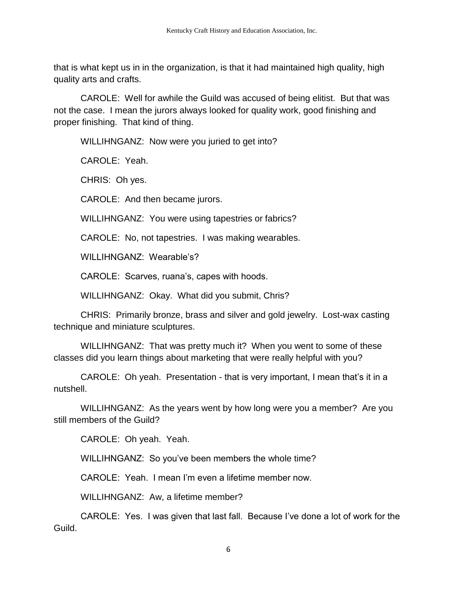that is what kept us in in the organization, is that it had maintained high quality, high quality arts and crafts.

CAROLE: Well for awhile the Guild was accused of being elitist. But that was not the case. I mean the jurors always looked for quality work, good finishing and proper finishing. That kind of thing.

WILLIHNGANZ: Now were you juried to get into?

CAROLE: Yeah.

CHRIS: Oh yes.

CAROLE: And then became jurors.

WILLIHNGANZ: You were using tapestries or fabrics?

CAROLE: No, not tapestries. I was making wearables.

WILLIHNGANZ: Wearable's?

CAROLE: Scarves, ruana's, capes with hoods.

WILLIHNGANZ: Okay. What did you submit, Chris?

CHRIS: Primarily bronze, brass and silver and gold jewelry. Lost-wax casting technique and miniature sculptures.

WILLIHNGANZ: That was pretty much it? When you went to some of these classes did you learn things about marketing that were really helpful with you?

CAROLE: Oh yeah. Presentation - that is very important, I mean that's it in a nutshell.

WILLIHNGANZ: As the years went by how long were you a member? Are you still members of the Guild?

CAROLE: Oh yeah. Yeah.

WILLIHNGANZ: So you've been members the whole time?

CAROLE: Yeah. I mean I'm even a lifetime member now.

WILLIHNGANZ: Aw, a lifetime member?

CAROLE: Yes. I was given that last fall. Because I've done a lot of work for the Guild.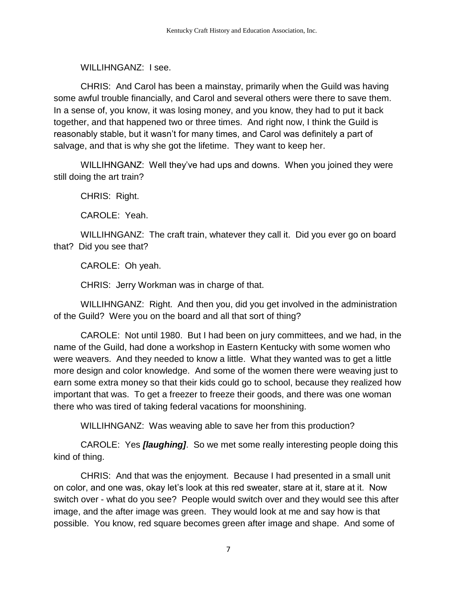WILLIHNGANZ: LSee.

CHRIS: And Carol has been a mainstay, primarily when the Guild was having some awful trouble financially, and Carol and several others were there to save them. In a sense of, you know, it was losing money, and you know, they had to put it back together, and that happened two or three times. And right now, I think the Guild is reasonably stable, but it wasn't for many times, and Carol was definitely a part of salvage, and that is why she got the lifetime. They want to keep her.

WILLIHNGANZ: Well they've had ups and downs. When you joined they were still doing the art train?

CHRIS: Right.

CAROLE: Yeah.

WILLIHNGANZ: The craft train, whatever they call it. Did you ever go on board that? Did you see that?

CAROLE: Oh yeah.

CHRIS: Jerry Workman was in charge of that.

WILLIHNGANZ: Right. And then you, did you get involved in the administration of the Guild? Were you on the board and all that sort of thing?

CAROLE: Not until 1980. But I had been on jury committees, and we had, in the name of the Guild, had done a workshop in Eastern Kentucky with some women who were weavers. And they needed to know a little. What they wanted was to get a little more design and color knowledge. And some of the women there were weaving just to earn some extra money so that their kids could go to school, because they realized how important that was. To get a freezer to freeze their goods, and there was one woman there who was tired of taking federal vacations for moonshining.

WILLIHNGANZ: Was weaving able to save her from this production?

CAROLE: Yes *[laughing]*. So we met some really interesting people doing this kind of thing.

CHRIS: And that was the enjoyment. Because I had presented in a small unit on color, and one was, okay let's look at this red sweater, stare at it, stare at it. Now switch over - what do you see? People would switch over and they would see this after image, and the after image was green. They would look at me and say how is that possible. You know, red square becomes green after image and shape. And some of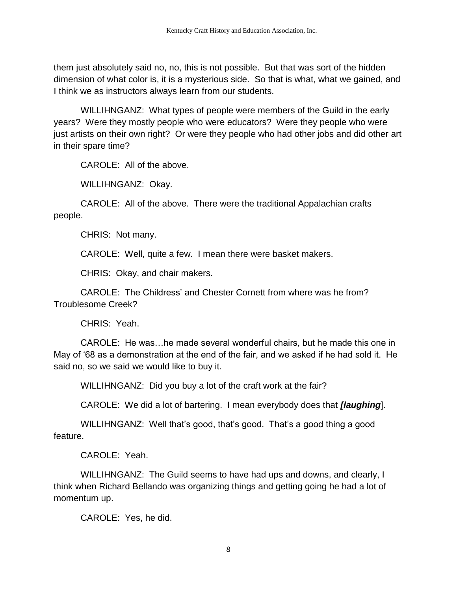them just absolutely said no, no, this is not possible. But that was sort of the hidden dimension of what color is, it is a mysterious side. So that is what, what we gained, and I think we as instructors always learn from our students.

WILLIHNGANZ: What types of people were members of the Guild in the early years? Were they mostly people who were educators? Were they people who were just artists on their own right? Or were they people who had other jobs and did other art in their spare time?

CAROLE: All of the above.

WILLIHNGANZ: Okay.

CAROLE: All of the above. There were the traditional Appalachian crafts people.

CHRIS: Not many.

CAROLE: Well, quite a few. I mean there were basket makers.

CHRIS: Okay, and chair makers.

CAROLE: The Childress' and Chester Cornett from where was he from? Troublesome Creek?

CHRIS: Yeah.

CAROLE: He was…he made several wonderful chairs, but he made this one in May of '68 as a demonstration at the end of the fair, and we asked if he had sold it. He said no, so we said we would like to buy it.

WILLIHNGANZ: Did you buy a lot of the craft work at the fair?

CAROLE: We did a lot of bartering. I mean everybody does that *[laughing*].

WILLIHNGANZ: Well that's good, that's good. That's a good thing a good feature.

CAROLE: Yeah.

WILLIHNGANZ: The Guild seems to have had ups and downs, and clearly, I think when Richard Bellando was organizing things and getting going he had a lot of momentum up.

CAROLE: Yes, he did.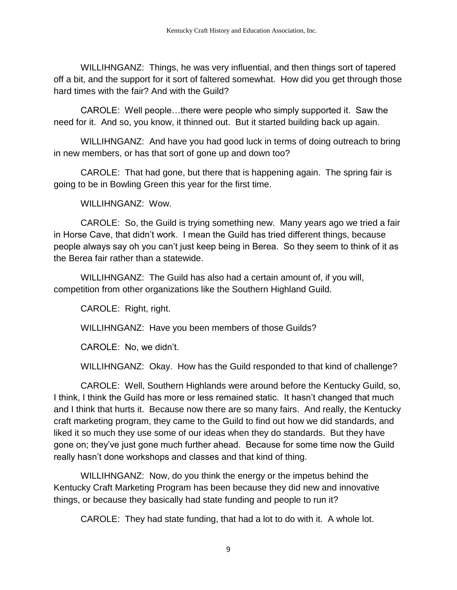WILLIHNGANZ: Things, he was very influential, and then things sort of tapered off a bit, and the support for it sort of faltered somewhat. How did you get through those hard times with the fair? And with the Guild?

CAROLE: Well people…there were people who simply supported it. Saw the need for it. And so, you know, it thinned out. But it started building back up again.

WILLIHNGANZ: And have you had good luck in terms of doing outreach to bring in new members, or has that sort of gone up and down too?

CAROLE: That had gone, but there that is happening again. The spring fair is going to be in Bowling Green this year for the first time.

WILLIHNGANZ: Wow.

CAROLE: So, the Guild is trying something new. Many years ago we tried a fair in Horse Cave, that didn't work. I mean the Guild has tried different things, because people always say oh you can't just keep being in Berea. So they seem to think of it as the Berea fair rather than a statewide.

WILLIHNGANZ: The Guild has also had a certain amount of, if you will, competition from other organizations like the Southern Highland Guild.

CAROLE: Right, right.

WILLIHNGANZ: Have you been members of those Guilds?

CAROLE: No, we didn't.

WILLIHNGANZ: Okay. How has the Guild responded to that kind of challenge?

CAROLE: Well, Southern Highlands were around before the Kentucky Guild, so, I think, I think the Guild has more or less remained static. It hasn't changed that much and I think that hurts it. Because now there are so many fairs. And really, the Kentucky craft marketing program, they came to the Guild to find out how we did standards, and liked it so much they use some of our ideas when they do standards. But they have gone on; they've just gone much further ahead. Because for some time now the Guild really hasn't done workshops and classes and that kind of thing.

WILLIHNGANZ: Now, do you think the energy or the impetus behind the Kentucky Craft Marketing Program has been because they did new and innovative things, or because they basically had state funding and people to run it?

CAROLE: They had state funding, that had a lot to do with it. A whole lot.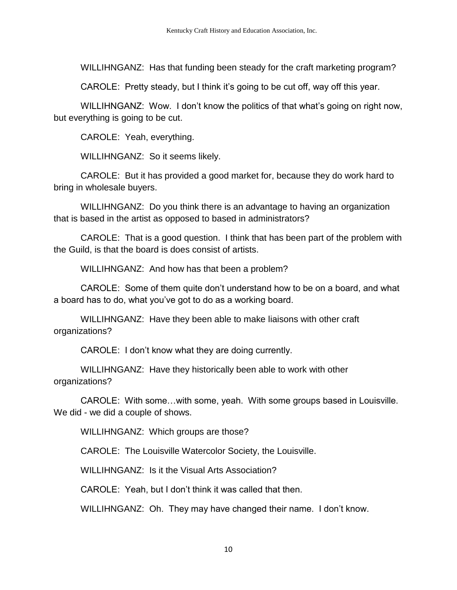WILLIHNGANZ: Has that funding been steady for the craft marketing program?

CAROLE: Pretty steady, but I think it's going to be cut off, way off this year.

WILLIHNGANZ: Wow. I don't know the politics of that what's going on right now, but everything is going to be cut.

CAROLE: Yeah, everything.

WILLIHNGANZ: So it seems likely.

CAROLE: But it has provided a good market for, because they do work hard to bring in wholesale buyers.

WILLIHNGANZ: Do you think there is an advantage to having an organization that is based in the artist as opposed to based in administrators?

CAROLE: That is a good question. I think that has been part of the problem with the Guild, is that the board is does consist of artists.

WILLIHNGANZ: And how has that been a problem?

CAROLE: Some of them quite don't understand how to be on a board, and what a board has to do, what you've got to do as a working board.

WILLIHNGANZ: Have they been able to make liaisons with other craft organizations?

CAROLE: I don't know what they are doing currently.

WILLIHNGANZ: Have they historically been able to work with other organizations?

CAROLE: With some…with some, yeah. With some groups based in Louisville. We did - we did a couple of shows.

WILLIHNGANZ: Which groups are those?

CAROLE: The Louisville Watercolor Society, the Louisville.

WILLIHNGANZ: Is it the Visual Arts Association?

CAROLE: Yeah, but I don't think it was called that then.

WILLIHNGANZ: Oh. They may have changed their name. I don't know.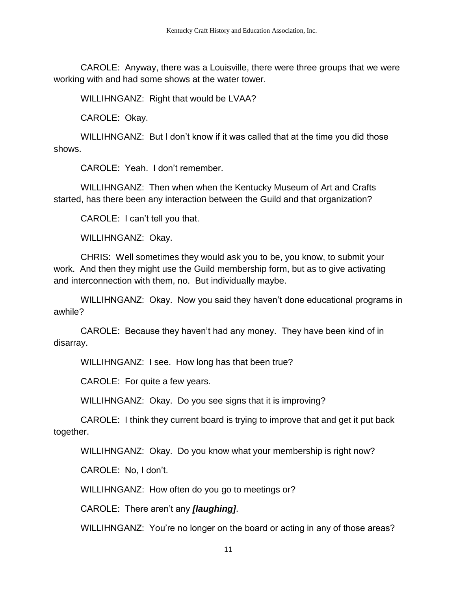CAROLE: Anyway, there was a Louisville, there were three groups that we were working with and had some shows at the water tower.

WILLIHNGANZ: Right that would be LVAA?

CAROLE: Okay.

WILLIHNGANZ: But I don't know if it was called that at the time you did those shows.

CAROLE: Yeah. I don't remember.

WILLIHNGANZ: Then when when the Kentucky Museum of Art and Crafts started, has there been any interaction between the Guild and that organization?

CAROLE: I can't tell you that.

WILLIHNGANZ: Okay.

CHRIS: Well sometimes they would ask you to be, you know, to submit your work. And then they might use the Guild membership form, but as to give activating and interconnection with them, no. But individually maybe.

WILLIHNGANZ: Okay. Now you said they haven't done educational programs in awhile?

CAROLE: Because they haven't had any money. They have been kind of in disarray.

WILLIHNGANZ: I see. How long has that been true?

CAROLE: For quite a few years.

WILLIHNGANZ: Okay. Do you see signs that it is improving?

CAROLE: I think they current board is trying to improve that and get it put back together.

WILLIHNGANZ: Okay. Do you know what your membership is right now?

CAROLE: No, I don't.

WILLIHNGANZ: How often do you go to meetings or?

CAROLE: There aren't any *[laughing]*.

WILLIHNGANZ: You're no longer on the board or acting in any of those areas?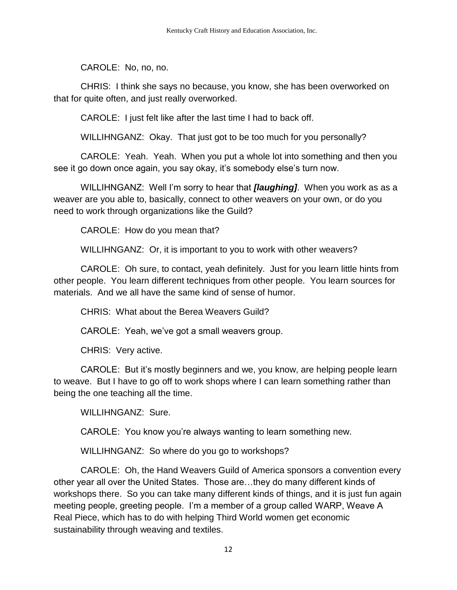CAROLE: No, no, no.

CHRIS: I think she says no because, you know, she has been overworked on that for quite often, and just really overworked.

CAROLE: I just felt like after the last time I had to back off.

WILLIHNGANZ: Okay. That just got to be too much for you personally?

CAROLE: Yeah. Yeah. When you put a whole lot into something and then you see it go down once again, you say okay, it's somebody else's turn now.

WILLIHNGANZ: Well I'm sorry to hear that *[laughing]*. When you work as as a weaver are you able to, basically, connect to other weavers on your own, or do you need to work through organizations like the Guild?

CAROLE: How do you mean that?

WILLIHNGANZ: Or, it is important to you to work with other weavers?

CAROLE: Oh sure, to contact, yeah definitely. Just for you learn little hints from other people. You learn different techniques from other people. You learn sources for materials. And we all have the same kind of sense of humor.

CHRIS: What about the Berea Weavers Guild?

CAROLE: Yeah, we've got a small weavers group.

CHRIS: Very active.

CAROLE: But it's mostly beginners and we, you know, are helping people learn to weave. But I have to go off to work shops where I can learn something rather than being the one teaching all the time.

WILLIHNGANZ: Sure.

CAROLE: You know you're always wanting to learn something new.

WILLIHNGANZ: So where do you go to workshops?

CAROLE: Oh, the Hand Weavers Guild of America sponsors a convention every other year all over the United States. Those are…they do many different kinds of workshops there. So you can take many different kinds of things, and it is just fun again meeting people, greeting people. I'm a member of a group called WARP, Weave A Real Piece, which has to do with helping Third World women get economic sustainability through weaving and textiles.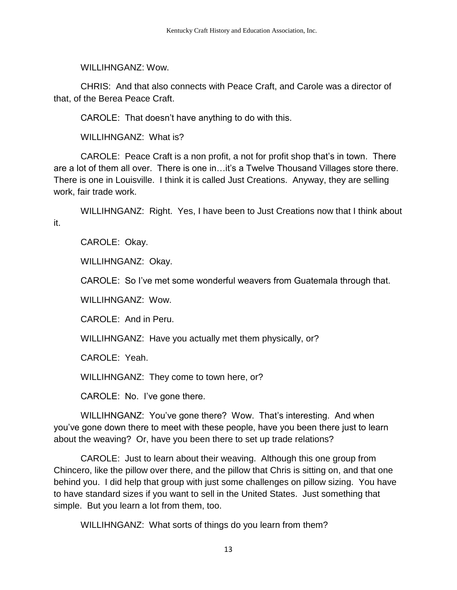WILL IHNGANZ: Wow.

CHRIS: And that also connects with Peace Craft, and Carole was a director of that, of the Berea Peace Craft.

CAROLE: That doesn't have anything to do with this.

WILLIHNGANZ: What is?

CAROLE: Peace Craft is a non profit, a not for profit shop that's in town. There are a lot of them all over. There is one in…it's a Twelve Thousand Villages store there. There is one in Louisville. I think it is called Just Creations. Anyway, they are selling work, fair trade work.

WILLIHNGANZ: Right. Yes, I have been to Just Creations now that I think about it.

CAROLE: Okay.

WILLIHNGANZ: Okay.

CAROLE: So I've met some wonderful weavers from Guatemala through that.

WILLIHNGANZ: Wow.

CAROLE: And in Peru.

WILLIHNGANZ: Have you actually met them physically, or?

CAROLE: Yeah.

WILLIHNGANZ: They come to town here, or?

CAROLE: No. I've gone there.

WILLIHNGANZ: You've gone there? Wow. That's interesting. And when you've gone down there to meet with these people, have you been there just to learn about the weaving? Or, have you been there to set up trade relations?

CAROLE: Just to learn about their weaving. Although this one group from Chincero, like the pillow over there, and the pillow that Chris is sitting on, and that one behind you. I did help that group with just some challenges on pillow sizing. You have to have standard sizes if you want to sell in the United States. Just something that simple. But you learn a lot from them, too.

WILLIHNGANZ: What sorts of things do you learn from them?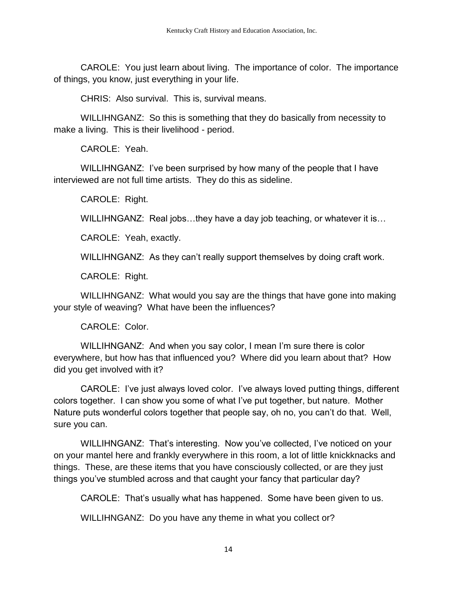CAROLE: You just learn about living. The importance of color. The importance of things, you know, just everything in your life.

CHRIS: Also survival. This is, survival means.

WILLIHNGANZ: So this is something that they do basically from necessity to make a living. This is their livelihood - period.

CAROLE: Yeah.

WILLIHNGANZ: I've been surprised by how many of the people that I have interviewed are not full time artists. They do this as sideline.

CAROLE: Right.

WILLIHNGANZ: Real jobs...they have a day job teaching, or whatever it is...

CAROLE: Yeah, exactly.

WILLIHNGANZ: As they can't really support themselves by doing craft work.

CAROLE: Right.

WILLIHNGANZ: What would you say are the things that have gone into making your style of weaving? What have been the influences?

CAROLE: Color.

WILLIHNGANZ: And when you say color, I mean I'm sure there is color everywhere, but how has that influenced you? Where did you learn about that? How did you get involved with it?

CAROLE: I've just always loved color. I've always loved putting things, different colors together. I can show you some of what I've put together, but nature. Mother Nature puts wonderful colors together that people say, oh no, you can't do that. Well, sure you can.

WILLIHNGANZ: That's interesting. Now you've collected, I've noticed on your on your mantel here and frankly everywhere in this room, a lot of little knickknacks and things. These, are these items that you have consciously collected, or are they just things you've stumbled across and that caught your fancy that particular day?

CAROLE: That's usually what has happened. Some have been given to us.

WILLIHNGANZ: Do you have any theme in what you collect or?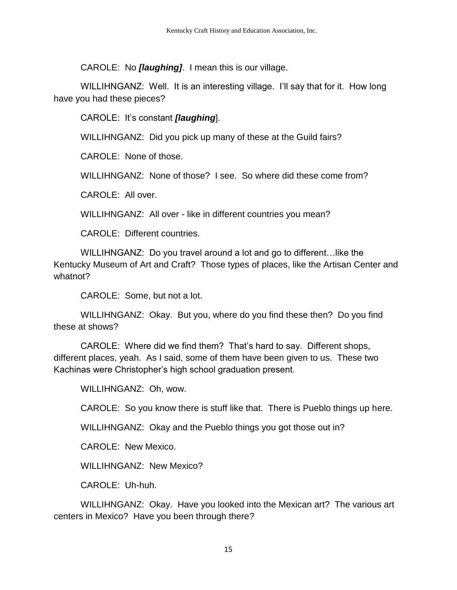CAROLE: No *[laughing]*. I mean this is our village.

WILLIHNGANZ: Well. It is an interesting village. I'll say that for it. How long have you had these pieces?

CAROLE: It's constant *[laughing*].

WILLIHNGANZ: Did you pick up many of these at the Guild fairs?

CAROLE: None of those.

WILLIHNGANZ: None of those? I see. So where did these come from?

CAROLE: All over.

WILLIHNGANZ: All over - like in different countries you mean?

CAROLE: Different countries.

WILLIHNGANZ: Do you travel around a lot and go to different…like the Kentucky Museum of Art and Craft? Those types of places, like the Artisan Center and whatnot?

CAROLE: Some, but not a lot.

WILLIHNGANZ: Okay. But you, where do you find these then? Do you find these at shows?

CAROLE: Where did we find them? That's hard to say. Different shops, different places, yeah. As I said, some of them have been given to us. These two Kachinas were Christopher's high school graduation present.

WILLIHNGANZ: Oh, wow.

CAROLE: So you know there is stuff like that. There is Pueblo things up here.

WILLIHNGANZ: Okay and the Pueblo things you got those out in?

CAROLE: New Mexico.

WILLIHNGANZ: New Mexico?

CAROLE: Uh-huh.

WILLIHNGANZ: Okay. Have you looked into the Mexican art? The various art centers in Mexico? Have you been through there?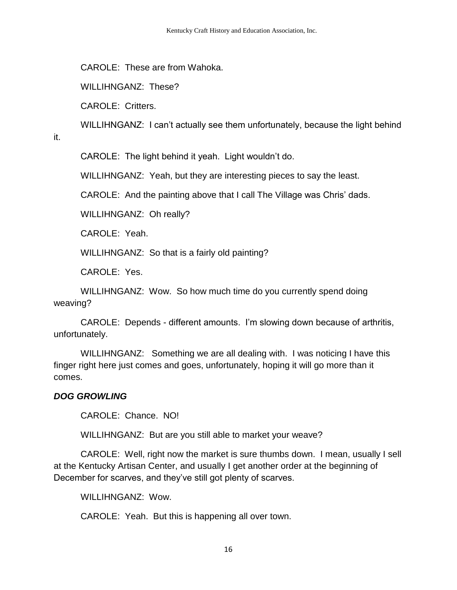CAROLE: These are from Wahoka.

WILLIHNGANZ: These?

CAROLE: Critters.

WILLIHNGANZ: I can't actually see them unfortunately, because the light behind

it.

CAROLE: The light behind it yeah. Light wouldn't do.

WILLIHNGANZ: Yeah, but they are interesting pieces to say the least.

CAROLE: And the painting above that I call The Village was Chris' dads.

WILLIHNGANZ: Oh really?

CAROLE: Yeah.

WILLIHNGANZ: So that is a fairly old painting?

CAROLE: Yes.

WILLIHNGANZ: Wow. So how much time do you currently spend doing weaving?

CAROLE: Depends - different amounts. I'm slowing down because of arthritis, unfortunately.

WILLIHNGANZ: Something we are all dealing with. I was noticing I have this finger right here just comes and goes, unfortunately, hoping it will go more than it comes.

### *DOG GROWLING*

CAROLE: Chance. NO!

WILLIHNGANZ: But are you still able to market your weave?

CAROLE: Well, right now the market is sure thumbs down. I mean, usually I sell at the Kentucky Artisan Center, and usually I get another order at the beginning of December for scarves, and they've still got plenty of scarves.

WILLIHNGANZ: Wow.

CAROLE: Yeah. But this is happening all over town.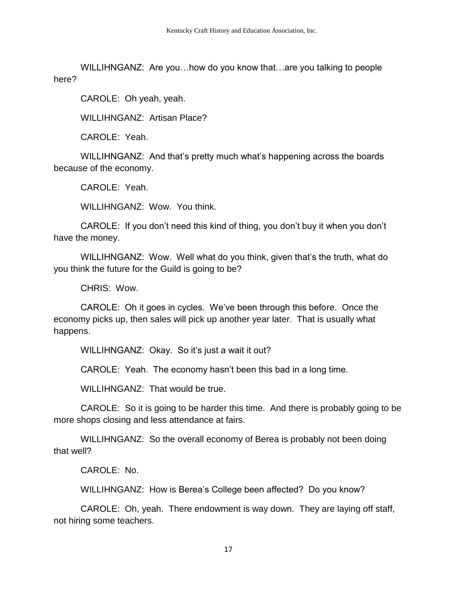WILLIHNGANZ: Are you…how do you know that…are you talking to people here?

CAROLE: Oh yeah, yeah.

WILLIHNGANZ: Artisan Place?

CAROLE: Yeah.

WILLIHNGANZ: And that's pretty much what's happening across the boards because of the economy.

CAROLE: Yeah.

WILLIHNGANZ: Wow. You think.

CAROLE: If you don't need this kind of thing, you don't buy it when you don't have the money.

WILLIHNGANZ: Wow. Well what do you think, given that's the truth, what do you think the future for the Guild is going to be?

CHRIS: Wow.

CAROLE: Oh it goes in cycles. We've been through this before. Once the economy picks up, then sales will pick up another year later. That is usually what happens.

WILLIHNGANZ: Okay. So it's just a wait it out?

CAROLE: Yeah. The economy hasn't been this bad in a long time.

WILLIHNGANZ: That would be true.

CAROLE: So it is going to be harder this time. And there is probably going to be more shops closing and less attendance at fairs.

WILLIHNGANZ: So the overall economy of Berea is probably not been doing that well?

CAROLE: No.

WILLIHNGANZ: How is Berea's College been affected? Do you know?

CAROLE: Oh, yeah. There endowment is way down. They are laying off staff, not hiring some teachers.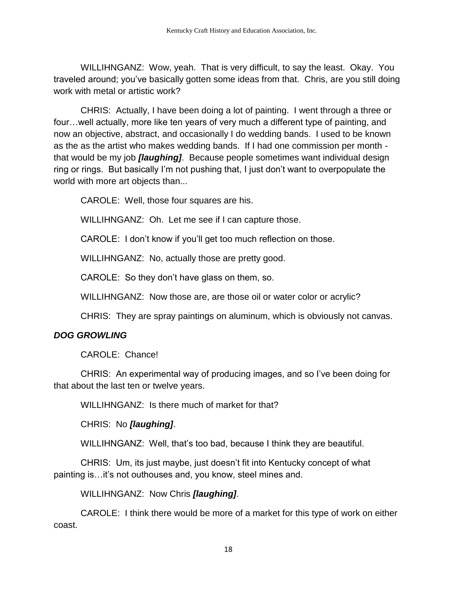WILLIHNGANZ: Wow, yeah. That is very difficult, to say the least. Okay. You traveled around; you've basically gotten some ideas from that. Chris, are you still doing work with metal or artistic work?

CHRIS: Actually, I have been doing a lot of painting. I went through a three or four…well actually, more like ten years of very much a different type of painting, and now an objective, abstract, and occasionally I do wedding bands. I used to be known as the as the artist who makes wedding bands. If I had one commission per month that would be my job *[laughing]*. Because people sometimes want individual design ring or rings. But basically I'm not pushing that, I just don't want to overpopulate the world with more art objects than...

CAROLE: Well, those four squares are his.

WILLIHNGANZ: Oh. Let me see if I can capture those.

CAROLE: I don't know if you'll get too much reflection on those.

WILLIHNGANZ: No, actually those are pretty good.

CAROLE: So they don't have glass on them, so.

WILLIHNGANZ: Now those are, are those oil or water color or acrylic?

CHRIS: They are spray paintings on aluminum, which is obviously not canvas.

### *DOG GROWLING*

CAROLE: Chance!

CHRIS: An experimental way of producing images, and so I've been doing for that about the last ten or twelve years.

WILLIHNGANZ: Is there much of market for that?

CHRIS: No *[laughing]*.

WILLIHNGANZ: Well, that's too bad, because I think they are beautiful.

CHRIS: Um, its just maybe, just doesn't fit into Kentucky concept of what painting is…it's not outhouses and, you know, steel mines and.

WILLIHNGANZ: Now Chris *[laughing]*.

CAROLE: I think there would be more of a market for this type of work on either coast.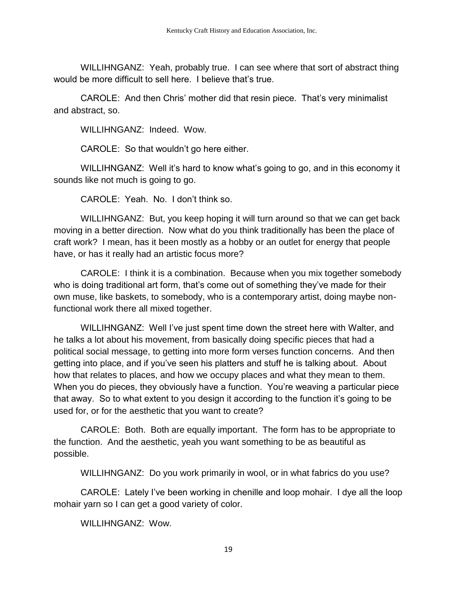WILLIHNGANZ: Yeah, probably true. I can see where that sort of abstract thing would be more difficult to sell here. I believe that's true.

CAROLE: And then Chris' mother did that resin piece. That's very minimalist and abstract, so.

WILLIHNGANZ: Indeed. Wow.

CAROLE: So that wouldn't go here either.

WILLIHNGANZ: Well it's hard to know what's going to go, and in this economy it sounds like not much is going to go.

CAROLE: Yeah. No. I don't think so.

WILLIHNGANZ: But, you keep hoping it will turn around so that we can get back moving in a better direction. Now what do you think traditionally has been the place of craft work? I mean, has it been mostly as a hobby or an outlet for energy that people have, or has it really had an artistic focus more?

CAROLE: I think it is a combination. Because when you mix together somebody who is doing traditional art form, that's come out of something they've made for their own muse, like baskets, to somebody, who is a contemporary artist, doing maybe nonfunctional work there all mixed together.

WILLIHNGANZ: Well I've just spent time down the street here with Walter, and he talks a lot about his movement, from basically doing specific pieces that had a political social message, to getting into more form verses function concerns. And then getting into place, and if you've seen his platters and stuff he is talking about. About how that relates to places, and how we occupy places and what they mean to them. When you do pieces, they obviously have a function. You're weaving a particular piece that away. So to what extent to you design it according to the function it's going to be used for, or for the aesthetic that you want to create?

CAROLE: Both. Both are equally important. The form has to be appropriate to the function. And the aesthetic, yeah you want something to be as beautiful as possible.

WILLIHNGANZ: Do you work primarily in wool, or in what fabrics do you use?

CAROLE: Lately I've been working in chenille and loop mohair. I dye all the loop mohair yarn so I can get a good variety of color.

WILLIHNGANZ: Wow.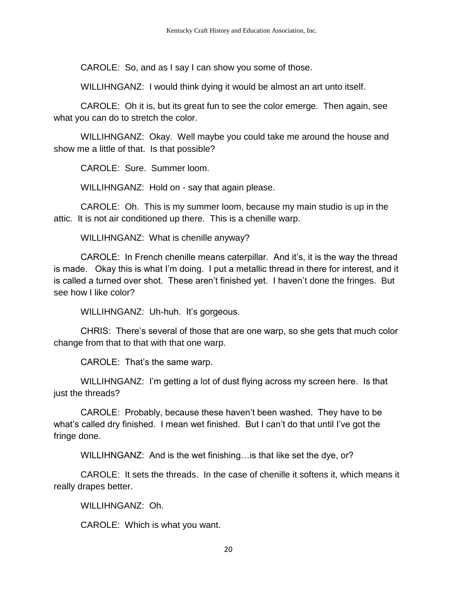CAROLE: So, and as I say I can show you some of those.

WILLIHNGANZ: I would think dying it would be almost an art unto itself.

CAROLE: Oh it is, but its great fun to see the color emerge. Then again, see what you can do to stretch the color.

WILLIHNGANZ: Okay. Well maybe you could take me around the house and show me a little of that. Is that possible?

CAROLE: Sure. Summer loom.

WILLIHNGANZ: Hold on - say that again please.

CAROLE: Oh. This is my summer loom, because my main studio is up in the attic. It is not air conditioned up there. This is a chenille warp.

WILLIHNGANZ: What is chenille anyway?

CAROLE: In French chenille means caterpillar. And it's, it is the way the thread is made. Okay this is what I'm doing. I put a metallic thread in there for interest, and it is called a turned over shot. These aren't finished yet. I haven't done the fringes. But see how I like color?

WILLIHNGANZ: Uh-huh. It's gorgeous.

CHRIS: There's several of those that are one warp, so she gets that much color change from that to that with that one warp.

CAROLE: That's the same warp.

WILLIHNGANZ: I'm getting a lot of dust flying across my screen here. Is that just the threads?

CAROLE: Probably, because these haven't been washed. They have to be what's called dry finished. I mean wet finished. But I can't do that until I've got the fringe done.

WILLIHNGANZ: And is the wet finishing... is that like set the dye, or?

CAROLE: It sets the threads. In the case of chenille it softens it, which means it really drapes better.

WILLIHNGANZ: Oh.

CAROLE: Which is what you want.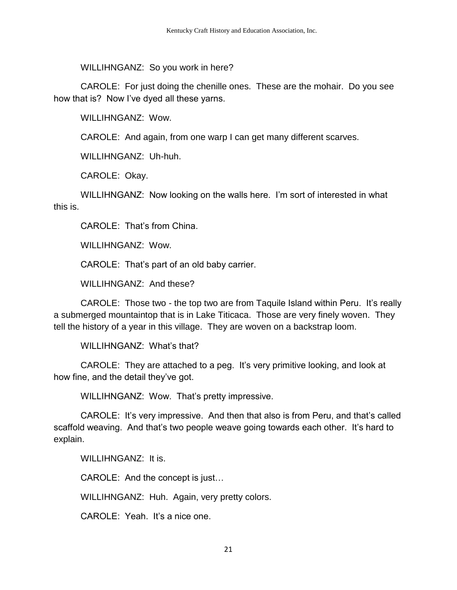WILLIHNGANZ: So you work in here?

CAROLE: For just doing the chenille ones. These are the mohair. Do you see how that is? Now I've dyed all these yarns.

WILLIHNGANZ: Wow.

CAROLE: And again, from one warp I can get many different scarves.

WILLIHNGANZ: Uh-huh.

CAROLE: Okay.

WILLIHNGANZ: Now looking on the walls here. I'm sort of interested in what this is.

CAROLE: That's from China.

WILLIHNGANZ: Wow.

CAROLE: That's part of an old baby carrier.

WILLIHNGANZ: And these?

CAROLE: Those two - the top two are from Taquile Island within Peru. It's really a submerged mountaintop that is in Lake Titicaca. Those are very finely woven. They tell the history of a year in this village. They are woven on a backstrap loom.

WILLIHNGANZ: What's that?

CAROLE: They are attached to a peg. It's very primitive looking, and look at how fine, and the detail they've got.

WILLIHNGANZ: Wow. That's pretty impressive.

CAROLE: It's very impressive. And then that also is from Peru, and that's called scaffold weaving. And that's two people weave going towards each other. It's hard to explain.

WILLIHNGANZ: It is.

CAROLE: And the concept is just…

WILLIHNGANZ: Huh. Again, very pretty colors.

CAROLE: Yeah. It's a nice one.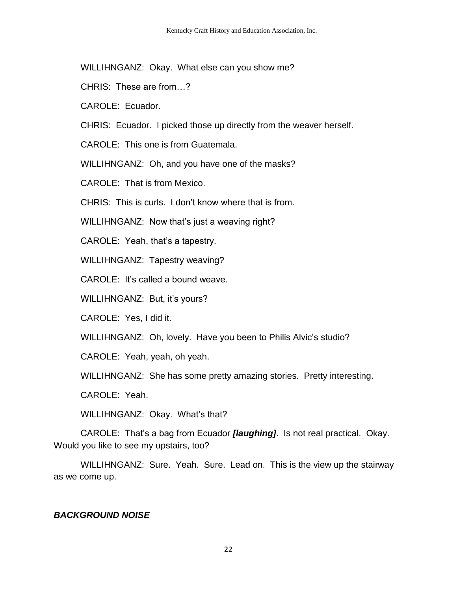WILLIHNGANZ: Okay. What else can you show me?

- CHRIS: These are from…?
- CAROLE: Ecuador.
- CHRIS: Ecuador. I picked those up directly from the weaver herself.
- CAROLE: This one is from Guatemala.
- WILLIHNGANZ: Oh, and you have one of the masks?
- CAROLE: That is from Mexico.
- CHRIS: This is curls. I don't know where that is from.
- WILLIHNGANZ: Now that's just a weaving right?
- CAROLE: Yeah, that's a tapestry.
- WILLIHNGANZ: Tapestry weaving?
- CAROLE: It's called a bound weave.
- WILLIHNGANZ: But, it's yours?
- CAROLE: Yes, I did it.
- WILLIHNGANZ: Oh, lovely. Have you been to Philis Alvic's studio?
- CAROLE: Yeah, yeah, oh yeah.
- WILLIHNGANZ: She has some pretty amazing stories. Pretty interesting.
- CAROLE: Yeah.
- WILLIHNGANZ: Okay. What's that?
- CAROLE: That's a bag from Ecuador *[laughing]*. Is not real practical. Okay. Would you like to see my upstairs, too?
- WILLIHNGANZ: Sure. Yeah. Sure. Lead on. This is the view up the stairway as we come up.

### *BACKGROUND NOISE*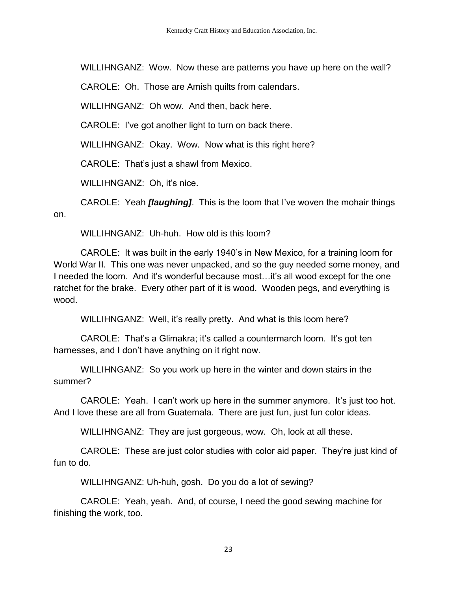WILLIHNGANZ: Wow. Now these are patterns you have up here on the wall?

CAROLE: Oh. Those are Amish quilts from calendars.

WILLIHNGANZ: Oh wow. And then, back here.

CAROLE: I've got another light to turn on back there.

WILLIHNGANZ: Okay. Wow. Now what is this right here?

CAROLE: That's just a shawl from Mexico.

WILLIHNGANZ: Oh, it's nice.

CAROLE: Yeah *[laughing]*. This is the loom that I've woven the mohair things on.

WILLIHNGANZ: Uh-huh. How old is this loom?

CAROLE: It was built in the early 1940's in New Mexico, for a training loom for World War II. This one was never unpacked, and so the guy needed some money, and I needed the loom. And it's wonderful because most…it's all wood except for the one ratchet for the brake. Every other part of it is wood. Wooden pegs, and everything is wood.

WILLIHNGANZ: Well, it's really pretty. And what is this loom here?

CAROLE: That's a Glimakra; it's called a countermarch loom. It's got ten harnesses, and I don't have anything on it right now.

WILLIHNGANZ: So you work up here in the winter and down stairs in the summer?

CAROLE: Yeah. I can't work up here in the summer anymore. It's just too hot. And I love these are all from Guatemala. There are just fun, just fun color ideas.

WILLIHNGANZ: They are just gorgeous, wow. Oh, look at all these.

CAROLE: These are just color studies with color aid paper. They're just kind of fun to do.

WILLIHNGANZ: Uh-huh, gosh. Do you do a lot of sewing?

CAROLE: Yeah, yeah. And, of course, I need the good sewing machine for finishing the work, too.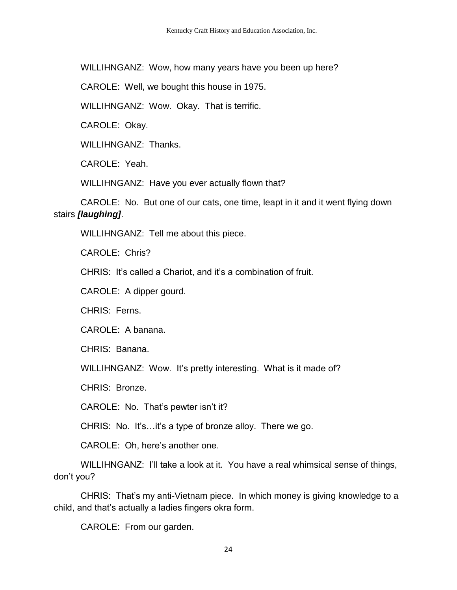WILLIHNGANZ: Wow, how many years have you been up here?

CAROLE: Well, we bought this house in 1975.

WILLIHNGANZ: Wow. Okay. That is terrific.

CAROLE: Okay.

WILLIHNGANZ: Thanks.

CAROLE: Yeah.

WILLIHNGANZ: Have you ever actually flown that?

CAROLE: No. But one of our cats, one time, leapt in it and it went flying down stairs *[laughing]*.

WILLIHNGANZ: Tell me about this piece.

CAROLE: Chris?

CHRIS: It's called a Chariot, and it's a combination of fruit.

CAROLE: A dipper gourd.

CHRIS: Ferns.

CAROLE: A banana.

CHRIS: Banana.

WILLIHNGANZ: Wow. It's pretty interesting. What is it made of?

CHRIS: Bronze.

CAROLE: No. That's pewter isn't it?

CHRIS: No. It's…it's a type of bronze alloy. There we go.

CAROLE: Oh, here's another one.

WILLIHNGANZ: I'll take a look at it. You have a real whimsical sense of things, don't you?

CHRIS: That's my anti-Vietnam piece. In which money is giving knowledge to a child, and that's actually a ladies fingers okra form.

CAROLE: From our garden.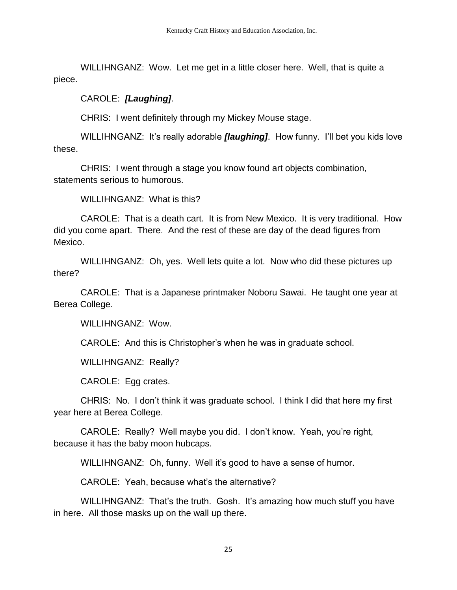WILLIHNGANZ: Wow. Let me get in a little closer here. Well, that is quite a piece.

#### CAROLE: *[Laughing]*.

CHRIS: I went definitely through my Mickey Mouse stage.

WILLIHNGANZ: It's really adorable *[laughing]*. How funny. I'll bet you kids love these.

CHRIS: I went through a stage you know found art objects combination, statements serious to humorous.

WILLIHNGANZ: What is this?

CAROLE: That is a death cart. It is from New Mexico. It is very traditional. How did you come apart. There. And the rest of these are day of the dead figures from Mexico.

WILLIHNGANZ: Oh, yes. Well lets quite a lot. Now who did these pictures up there?

CAROLE: That is a Japanese printmaker Noboru Sawai. He taught one year at Berea College.

WILLIHNGANZ: Wow.

CAROLE: And this is Christopher's when he was in graduate school.

WILLIHNGANZ: Really?

CAROLE: Egg crates.

CHRIS: No. I don't think it was graduate school. I think I did that here my first year here at Berea College.

CAROLE: Really? Well maybe you did. I don't know. Yeah, you're right, because it has the baby moon hubcaps.

WILLIHNGANZ: Oh, funny. Well it's good to have a sense of humor.

CAROLE: Yeah, because what's the alternative?

WILLIHNGANZ: That's the truth. Gosh. It's amazing how much stuff you have in here. All those masks up on the wall up there.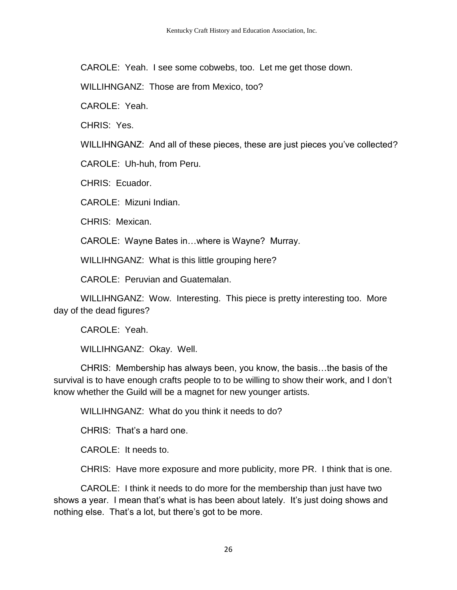CAROLE: Yeah. I see some cobwebs, too. Let me get those down.

WILLIHNGANZ: Those are from Mexico, too?

CAROLE: Yeah.

CHRIS: Yes.

WILLIHNGANZ: And all of these pieces, these are just pieces you've collected?

CAROLE: Uh-huh, from Peru.

CHRIS: Ecuador.

CAROLE: Mizuni Indian.

CHRIS: Mexican.

CAROLE: Wayne Bates in…where is Wayne? Murray.

WILLIHNGANZ: What is this little grouping here?

CAROLE: Peruvian and Guatemalan.

WILLIHNGANZ: Wow. Interesting. This piece is pretty interesting too. More day of the dead figures?

CAROLE: Yeah.

WILLIHNGANZ: Okay. Well.

CHRIS: Membership has always been, you know, the basis…the basis of the survival is to have enough crafts people to to be willing to show their work, and I don't know whether the Guild will be a magnet for new younger artists.

WILLIHNGANZ: What do you think it needs to do?

CHRIS: That's a hard one.

CAROLE: It needs to.

CHRIS: Have more exposure and more publicity, more PR. I think that is one.

CAROLE: I think it needs to do more for the membership than just have two shows a year. I mean that's what is has been about lately. It's just doing shows and nothing else. That's a lot, but there's got to be more.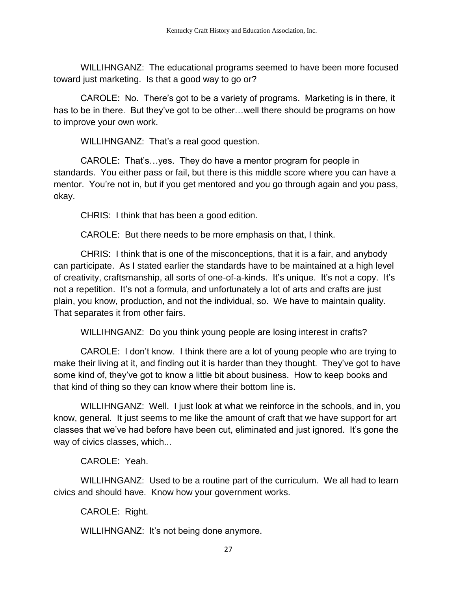WILLIHNGANZ: The educational programs seemed to have been more focused toward just marketing. Is that a good way to go or?

CAROLE: No. There's got to be a variety of programs. Marketing is in there, it has to be in there. But they've got to be other…well there should be programs on how to improve your own work.

WILLIHNGANZ: That's a real good question.

CAROLE: That's…yes. They do have a mentor program for people in standards. You either pass or fail, but there is this middle score where you can have a mentor. You're not in, but if you get mentored and you go through again and you pass, okay.

CHRIS: I think that has been a good edition.

CAROLE: But there needs to be more emphasis on that, I think.

CHRIS: I think that is one of the misconceptions, that it is a fair, and anybody can participate. As I stated earlier the standards have to be maintained at a high level of creativity, craftsmanship, all sorts of one-of-a-kinds. It's unique. It's not a copy. It's not a repetition. It's not a formula, and unfortunately a lot of arts and crafts are just plain, you know, production, and not the individual, so. We have to maintain quality. That separates it from other fairs.

WILLIHNGANZ: Do you think young people are losing interest in crafts?

CAROLE: I don't know. I think there are a lot of young people who are trying to make their living at it, and finding out it is harder than they thought. They've got to have some kind of, they've got to know a little bit about business. How to keep books and that kind of thing so they can know where their bottom line is.

WILLIHNGANZ: Well. I just look at what we reinforce in the schools, and in, you know, general. It just seems to me like the amount of craft that we have support for art classes that we've had before have been cut, eliminated and just ignored. It's gone the way of civics classes, which...

CAROLE: Yeah.

WILLIHNGANZ: Used to be a routine part of the curriculum. We all had to learn civics and should have. Know how your government works.

CAROLE: Right.

WILLIHNGANZ: It's not being done anymore.